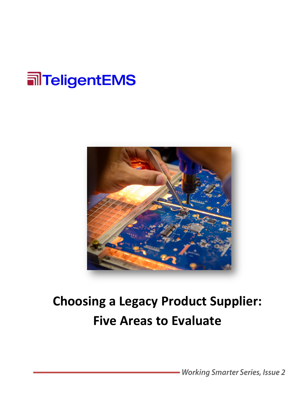



### **Choosing a Legacy Product Supplier: Five Areas to Evaluate**

- Working Smarter Series, Issue 2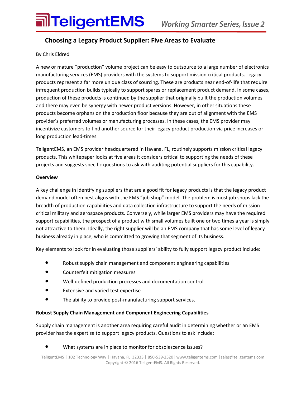### **MITeligentEMS** Working Smarter Series, Issue 2

### **Choosing a Legacy Product Supplier: Five Areas to Evaluate**

### By Chris Eldred

A new or mature "production" volume project can be easy to outsource to a large number of electronics manufacturing services (EMS) providers with the systems to support mission critical products. Legacy products represent a far more unique class of sourcing. These are products near end-of-life that require infrequent production builds typically to support spares or replacement product demand. In some cases, production of these products is continued by the supplier that originally built the production volumes and there may even be synergy with newer product versions. However, in other situations these products become orphans on the production floor because they are out of alignment with the EMS provider's preferred volumes or manufacturing processes. In these cases, the EMS provider may incentivize customers to find another source for their legacy product production via price increases or long production lead-times.

TeligentEMS, an EMS provider headquartered in Havana, FL, routinely supports mission critical legacy products. This whitepaper looks at five areas it considers critical to supporting the needs of these projects and suggests specific questions to ask with auditing potential suppliers for this capability.

#### **Overview**

A key challenge in identifying suppliers that are a good fit for legacy products is that the legacy product demand model often best aligns with the EMS "job shop" model. The problem is most job shops lack the breadth of production capabilities and data collection infrastructure to support the needs of mission critical military and aerospace products. Conversely, while larger EMS providers may have the required support capabilities, the prospect of a product with small volumes built one or two times a year is simply not attractive to them. Ideally, the right supplier will be an EMS company that has some level of legacy business already in place, who is committed to growing that segment of its business.

Key elements to look for in evaluating those suppliers' ability to fully support legacy product include:

- **•** Robust supply chain management and component engineering capabilities
- **•** Counterfeit mitigation measures
- **•** Well-defined production processes and documentation control
- **•** Extensive and varied test expertise
- **•** The ability to provide post-manufacturing support services.

#### **Robust Supply Chain Management and Component Engineering Capabilities**

Supply chain management is another area requiring careful audit in determining whether or an EMS provider has the expertise to support legacy products. Questions to ask include:

#### **•** What systems are in place to monitor for obsolescence issues?

TeligentEMS | 102 Technology Way | Havana, FL 32333 | 850-539-2520| [www.teligentems.com](http://www.teligentems.com/) [|sales@teligentems.com](mailto:%7Csales@teligentems.com) Copyright © 2016 TeligentEMS. All Rights Reserved.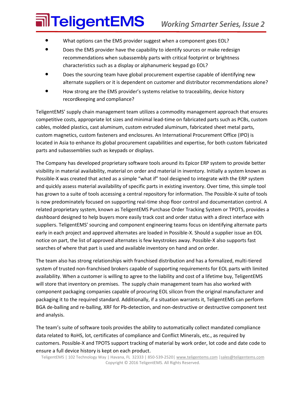# **जोTeligentEMS**

- **•** What options can the EMS provider suggest when a component goes EOL?
- Does the EMS provider have the capability to identify sources or make redesign recommendations when subassembly parts with critical footprint or brightness characteristics such as a display or alphanumeric keypad go EOL?
- **•** Does the sourcing team have global procurement expertise capable of identifying new alternate suppliers or it is dependent on customer and distributor recommendations alone?
- **•** How strong are the EMS provider's systems relative to traceability, device history recordkeeping and compliance?

TeligentEMS' supply chain management team utilizes a commodity management approach that ensures competitive costs, appropriate lot sizes and minimal lead-time on fabricated parts such as PCBs, custom cables, molded plastics, cast aluminum, custom extruded aluminum, fabricated sheet metal parts, custom magnetics, custom fasteners and enclosures. An International Procurement Office (IPO) is located in Asia to enhance its global procurement capabilities and expertise, for both custom fabricated parts and subassemblies such as keypads or displays.

The Company has developed proprietary software tools around its Epicor ERP system to provide better visibility in material availability, material on order and material in inventory. Initially a system known as Possible-X was created that acted as a simple "what if" tool designed to integrate with the ERP system and quickly assess material availability of specific parts in existing inventory. Over time, this simple tool has grown to a suite of tools accessing a central repository for information. The Possible-X suite of tools is now predominately focused on supporting real-time shop floor control and documentation control. A related proprietary system, known as TeligentEMS Purchase Order Tracking System or TPOTS, provides a dashboard designed to help buyers more easily track cost and order status with a direct interface with suppliers. TeligentEMS' sourcing and component engineering teams focus on identifying alternate parts early in each project and approved alternates are loaded in Possible-X. Should a supplier issue an EOL notice on part, the list of approved alternates is few keystrokes away. Possible-X also supports fast searches of where that part is used and available inventory on hand and on order.

The team also has strong relationships with franchised distribution and has a formalized, multi-tiered system of trusted non-franchised brokers capable of supporting requirements for EOL parts with limited availability. When a customer is willing to agree to the liability and cost of a lifetime buy, TeligentEMS will store that inventory on premises. The supply chain management team has also worked with component packaging companies capable of procuring EOL silicon from the original manufacturer and packaging it to the required standard. Additionally, if a situation warrants it, TeligentEMS can perform BGA de-balling and re-balling, XRF for Pb-detection, and non-destructive or destructive component test and analysis.

The team's suite of software tools provides the ability to automatically collect mandated compliance data related to RoHS, lot, certificates of compliance and Conflict Minerals, etc., as required by customers. Possible-X and TPOTS support tracking of material by work order, lot code and date code to ensure a full device history is kept on each product.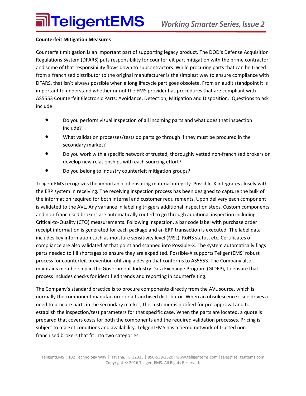#### **Counterfeit Mitigation Measures**

Counterfeit mitigation is an important part of supporting legacy product. The DOD's Defense Acquisition Regulations System (DFARS) puts responsibility for counterfeit part mitigation with the prime contractor and some of that responsibility flows down to subcontractors. While procuring parts that can be traced from a franchised distributor to the original manufacturer is the simplest way to ensure compliance with DFARS, that isn't always possible when a long lifecycle part goes obsolete. From an audit standpoint it is important to understand whether or not the EMS provider has procedures that are compliant with AS5553 Counterfeit Electronic Parts: Avoidance, Detection, Mitigation and Disposition. Questions to ask include:

- **•** Do you perform visual inspection of all incoming parts and what does that inspection include?
- **•** What validation processes/tests do parts go through if they must be procured in the secondary market?
- **•** Do you work with a specific network of trusted, thoroughly vetted non-franchised brokers or develop new relationships with each sourcing effort?
- **•** Do you belong to industry counterfeit mitigation groups?

TeligentEMS recognizes the importance of ensuring material integrity. Possible-X integrates closely with the ERP system in receiving. The receiving inspection process has been designed to capture the bulk of the information required for both internal and customer requirements. Upon delivery each component is validated to the AVL. Any variance in labeling triggers additional inspection steps. Custom components and non-franchised brokers are automatically routed to go through additional inspection including Critical-to-Quality (CTQ) measurements. Following inspection, a bar code label with purchase order receipt information is generated for each package and an ERP transaction is executed. The label data includes key information such as moisture sensitivity level (MSL), RoHS status, etc. Certificates of compliance are also validated at that point and scanned into Possible-X. The system automatically flags parts needed to fill shortages to ensure they are expedited. Possible-X supports TeligentEMS' robust process for counterfeit prevention utilizing a design that conforms to AS5553. The Company also maintains membership in the Government-Industry Data Exchange Program (GIDEP), to ensure that process includes checks for identified trends and reporting in counterfeiting.

The Company's standard practice is to procure components directly from the AVL source, which is normally the component manufacturer or a franchised distributor. When an obsolescence issue drives a need to procure parts in the secondary market, the customer is notified for pre-approval and to establish the inspection/test parameters for that specific case. When the parts are located, a quote is prepared that covers costs for both the components and the required validation processes. Pricing is subject to market conditions and availability. TeligentEMS has a tiered network of trusted nonfranchised brokers that fit into two categories: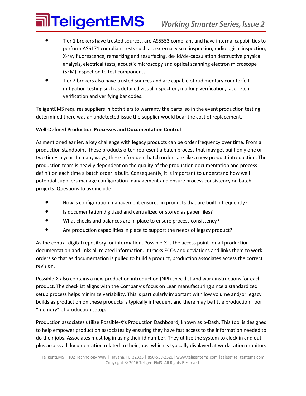# **alTeligentEMS**

- **•** Tier 1 brokers have trusted sources, are AS5553 compliant and have internal capabilities to perform AS6171 compliant tests such as: external visual inspection, radiological inspection, X-ray fluorescence, remarking and resurfacing, de-lid/de-capsulation destructive physical analysis, electrical tests, acoustic microscopy and optical scanning electron microscope (SEM) inspection to test components.
- **•** Tier 2 brokers also have trusted sources and are capable of rudimentary counterfeit mitigation testing such as detailed visual inspection, marking verification, laser etch verification and verifying bar codes.

TeligentEMS requires suppliers in both tiers to warranty the parts, so in the event production testing determined there was an undetected issue the supplier would bear the cost of replacement.

### **Well-Defined Production Processes and Documentation Control**

As mentioned earlier, a key challenge with legacy products can be order frequency over time. From a production standpoint, these products often represent a batch process that may get built only one or two times a year. In many ways, these infrequent batch orders are like a new product introduction. The production team is heavily dependent on the quality of the production documentation and process definition each time a batch order is built. Consequently, it is important to understand how well potential suppliers manage configuration management and ensure process consistency on batch projects. Questions to ask include:

- **•** How is configuration management ensured in products that are built infrequently?
- **•** Is documentation digitized and centralized or stored as paper files?
- **•** What checks and balances are in place to ensure process consistency?
- **•** Are production capabilities in place to support the needs of legacy product?

As the central digital repository for information, Possible-X is the access point for all production documentation and links all related information. It tracks ECOs and deviations and links them to work orders so that as documentation is pulled to build a product, production associates access the correct revision.

Possible-X also contains a new production introduction (NPI) checklist and work instructions for each product. The checklist aligns with the Company's focus on Lean manufacturing since a standardized setup process helps minimize variability. This is particularly important with low volume and/or legacy builds as production on these products is typically infrequent and there may be little production floor "memory" of production setup.

Production associates utilize Possible-X's Production Dashboard, known as p-Dash. This tool is designed to help empower production associates by ensuring they have fast access to the information needed to do their jobs. Associates must log in using their id number. They utilize the system to clock in and out, plus access all documentation related to their jobs, which is typically displayed at workstation monitors.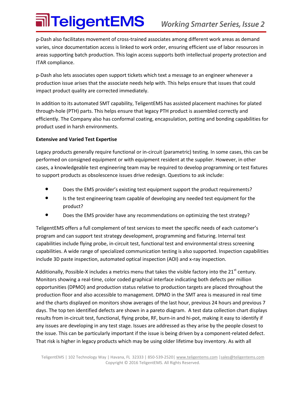## **alTeligentEMS**

p-Dash also facilitates movement of cross-trained associates among different work areas as demand varies, since documentation access is linked to work order, ensuring efficient use of labor resources in areas supporting batch production. This login access supports both intellectual property protection and ITAR compliance.

p-Dash also lets associates open support tickets which text a message to an engineer whenever a production issue arises that the associate needs help with. This helps ensure that issues that could impact product quality are corrected immediately.

In addition to its automated SMT capability, TeligentEMS has assisted placement machines for plated through-hole (PTH) parts. This helps ensure that legacy PTH product is assembled correctly and efficiently. The Company also has conformal coating, encapsulation, potting and bonding capabilities for product used in harsh environments.

#### **Extensive and Varied Test Expertise**

Legacy products generally require functional or in-circuit (parametric) testing. In some cases, this can be performed on consigned equipment or with equipment resident at the supplier. However, in other cases, a knowledgeable test engineering team may be required to develop programming or test fixtures to support products as obsolescence issues drive redesign. Questions to ask include:

- **•** Does the EMS provider's existing test equipment support the product requirements?
- **•** Is the test engineering team capable of developing any needed test equipment for the product?
- **•** Does the EMS provider have any recommendations on optimizing the test strategy?

TeligentEMS offers a full complement of test services to meet the specific needs of each customer's program and can support test strategy development, programming and fixturing. Internal test capabilities include flying probe, in-circuit test, functional test and environmental stress screening capabilities. A wide range of specialized communication testing is also supported. Inspection capabilities include 3D paste inspection, automated optical inspection (AOI) and x-ray inspection.

Additionally, Possible-X includes a metrics menu that takes the visible factory into the  $21<sup>st</sup>$  century. Monitors showing a real-time, color coded graphical interface indicating both defects per million opportunities (DPMO) and production status relative to production targets are placed throughout the production floor and also accessible to management. DPMO in the SMT area is measured in real time and the charts displayed on monitors show averages of the last hour, previous 24 hours and previous 7 days. The top ten identified defects are shown in a pareto diagram. A test data collection chart displays results from in-circuit test, functional, flying probe, RF, burn-in and hi-pot, making it easy to identify if any issues are developing in any test stage. Issues are addressed as they arise by the people closest to the issue. This can be particularly important if the issue is being driven by a component-related defect. That risk is higher in legacy products which may be using older lifetime buy inventory. As with all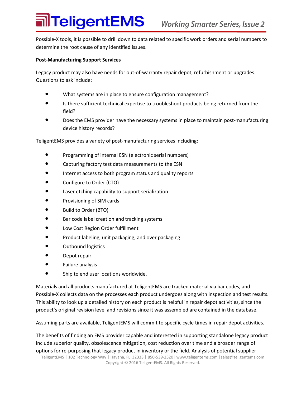### **जीTeligentEMS**

Possible-X tools, it is possible to drill down to data related to specific work orders and serial numbers to determine the root cause of any identified issues.

#### **Post-Manufacturing Support Services**

Legacy product may also have needs for out-of-warranty repair depot, refurbishment or upgrades. Questions to ask include:

- **•** What systems are in place to ensure configuration management?
- **•** Is there sufficient technical expertise to troubleshoot products being returned from the field?
- **•** Does the EMS provider have the necessary systems in place to maintain post-manufacturing device history records?

TeligentEMS provides a variety of post-manufacturing services including:

- **•** Programming of internal ESN (electronic serial numbers)
- **•** Capturing factory test data measurements to the ESN
- **•** Internet access to both program status and quality reports
- **•** Configure to Order (CTO)
- **•** Laser etching capability to support serialization
- **•** Provisioning of SIM cards
- **•** Build to Order (BTO)
- **•** Bar code label creation and tracking systems
- **•** Low Cost Region Order fulfillment
- **•** Product labeling, unit packaging, and over packaging
- **•** Outbound logistics
- **•** Depot repair
- **•** Failure analysis
- **•** Ship to end user locations worldwide.

Materials and all products manufactured at TeligentEMS are tracked material via bar codes, and Possible-X collects data on the processes each product undergoes along with inspection and test results. This ability to look up a detailed history on each product is helpful in repair depot activities, since the product's original revision level and revisions since it was assembled are contained in the database.

Assuming parts are available, TeligentEMS will commit to specific cycle times in repair depot activities.

The benefits of finding an EMS provider capable and interested in supporting standalone legacy product include superior quality, obsolescence mitigation, cost reduction over time and a broader range of options for re-purposing that legacy product in inventory or the field. Analysis of potential supplier